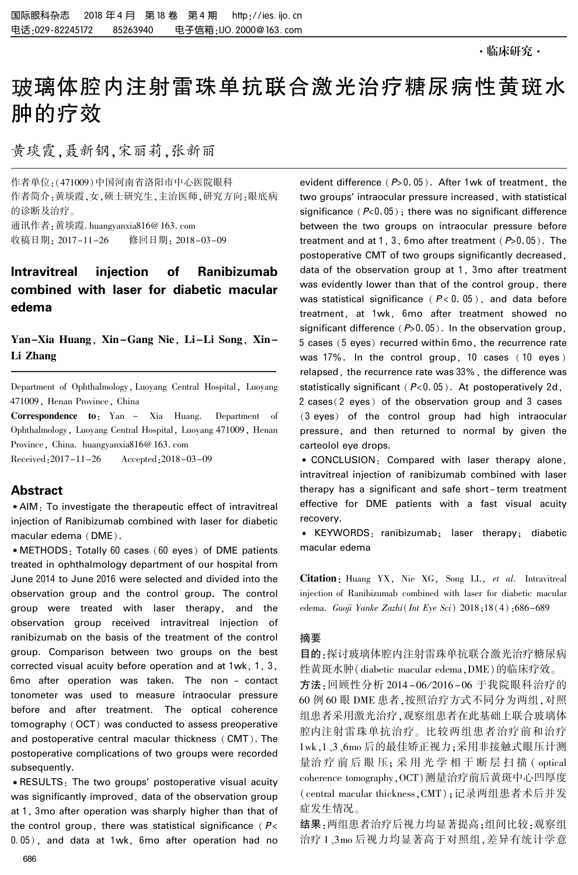# 玻璃体腔内注射雷珠单抗联合激光治疗糖尿病性黄斑水 肿的疗效

黄琰霞,聂新钢,宋丽莉,张新丽

作者单位:(471009)中国河南省洛阳市中心医院眼科 作者简介:黄琰霞,女,硕士研究生,主治医师,研究方向:眼底病 的诊断及治疗。 通讯作者:黄琰霞. huangyanxia816@ 163. com

收稿日期: 2017-11-26 修回日期: 2018-03-09

## Intravitreal injection of Ranibizumab combined with laser for diabetic macular edema

Yan-Xia Huang, Xin-Gang Nie, Li-Li Song, Xin-Li Zhang

Department of Ophthalmology, Luoyang Central Hospital, Luoyang 471009, Henan Province, China

Correspondence to: Yan - Xia Huang. Department of Ophthalmology, Luoyang Central Hospital, Luoyang 471009, Henan Province, China. huangyanxia816@ 163. com

Received:2017-11-26 Accepted:2018-03-09

## Abstract

<sup>誗</sup>AIM: To investigate the therapeutic effect of intravitreal injection of Ranibizumab combined with laser for diabetic macular edema (DME).

• METHODS: Totally 60 cases (60 eyes) of DME patients treated in ophthalmology department of our hospital from June 2014 to June 2016 were selected and divided into the observation group and the control group. The control group were treated with laser therapy, and the observation group received intravitreal injection of ranibizumab on the basis of the treatment of the control group. Comparison between two groups on the best corrected visual acuity before operation and at 1wk, 1, 3, 6mo after operation was taken. The non - contact tonometer was used to measure intraocular pressure before and after treatment. The optical coherence tomography (OCT) was conducted to assess preoperative and postoperative central macular thickness (CMT). The postoperative complications of two groups were recorded subsequently.

• RESULTS: The two groups' postoperative visual acuity was significantly improved, data of the observation group at 1, 3mo after operation was sharply higher than that of the control group, there was statistical significance ( $P$ < 0.05), and data at 1wk, 6mo after operation had no

evident difference  $(P>0.05)$ . After 1wk of treatment, the two groups' intraocular pressure increased, with statistical significance  $(P<0.05)$ ; there was no significant difference between the two groups on intraocular pressure before treatment and at  $1, 3$ , 6mo after treatment ( $P>0.05$ ). The postoperative CMT of two groups significantly decreased, data of the observation group at 1, 3mo after treatment was evidently lower than that of the control group, there was statistical significance ( $P < 0.05$ ), and data before treatment, at 1wk, 6mo after treatment showed no significant difference ( $P>0.05$ ). In the observation group, 5 cases (5 eyes) recurred within 6mo, the recurrence rate was 17%. In the control group, 10 cases ( 10 eyes ) relapsed, the recurrence rate was 33%, the difference was statistically significant ( $P<0.05$ ). At postoperatively 2d,

2 cases( 2 eyes) of the observation group and 3 cases (3 eyes) of the control group had high intraocular pressure, and then returned to normal by given the carteolol eye drops.

• CONCLUSION: Compared with laser therapy alone, intravitreal injection of ranibizumab combined with laser therapy has a significant and safe short - term treatment effective for DME patients with a fast visual acuity recovery.

<sup>誗</sup> KEYWORDS: ranibizumab; laser therapy; diabetic macular edema

Citation: Huang YX, Nie XG, Song LL, et al. Intravitreal injection of Ranibizumab combined with laser for diabetic macular edema. Guoji Yanke Zazhi(Int Eye Sci) 2018;18(4):686-689

#### 摘要

目的:探讨玻璃体腔内注射雷珠单抗联合激光治疗糖尿病 性黄斑水肿(diabetic macular edema,DME)的临床疗效。 方法:回顾性分析 2014-06/2016-06 于我院眼科治疗的

60 例 60 眼 DME 患者,按照治疗方式不同分为两组,对照 组患者采用激光治疗,观察组患者在此基础上联合玻璃体 腔内注射雷珠单抗治疗。 比较两组患者治疗前和治疗 1wk,1、3、6mo 后的最佳矫正视力;采用非接触式眼压计测 量治疗前后眼压; 采用光学相干断层扫描 (optical coherence tomography,OCT)测量治疗前后黄斑中心凹厚度 (central macular thickness,CMT);记录两组患者术后并发 症发生情况。

结果:两组患者治疗后视力均显著提高;组间比较:观察组 治疗 1、3mo 后视力均显著高于对照组,差异有统计学意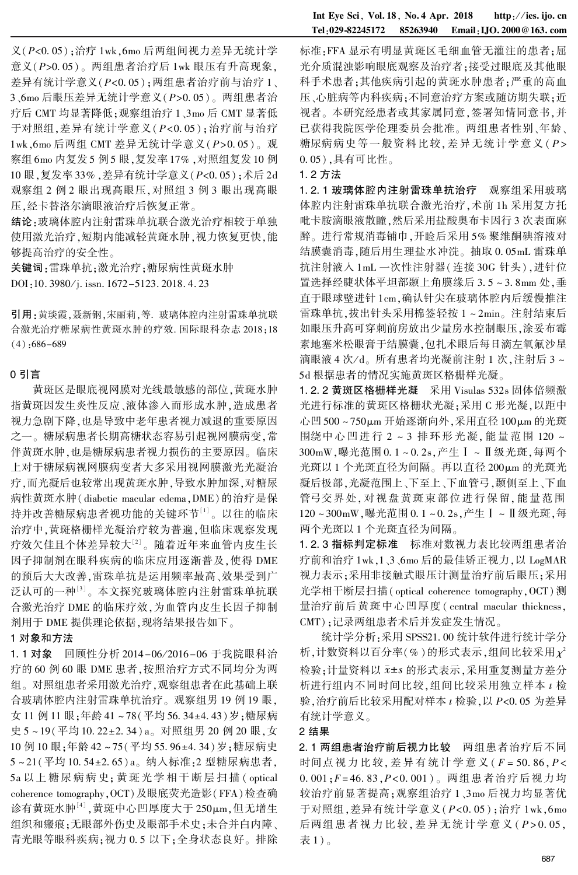$\chi$ ( $P$ <0.05);治疗 1wk,6mo 后两组间视力差异无统计学 意义 $(P>0.05)$ 。 两组患者治疗后 1wk 眼压有升高现象, 差异有统计学意义( $P < 0.05$ );两组患者治疗前与治疗 1、  $3.6$ mo 后眼压差异无统计学意义 $(P>0.05)$ 。 两组患者治 疗后 CMT 均显著降低;观察组治疗 1、3mo 后 CMT 显著低 于对照组,差异有统计学意义( $P < 0.05$ );治疗前与治疗 1wk,6mo 后两组 CMT 差异无统计学意义(P>0.05)。观 察组 6mo 内复发 5 例 5 眼,复发率 17% ,对照组复发 10 例 10 眼,复发率 33%, 差异有统计学意义 (P<0.05); 术后 2d 观察组 2 例 2 眼出现高眼压,对照组 3 例 3 眼出现高眼 压,经卡替洛尔滴眼液治疗后恢复正常。

结论:玻璃体腔内注射雷珠单抗联合激光治疗相较于单独 使用激光治疗,短期内能减轻黄斑水肿,视力恢复更快,能 够提高治疗的安全性。

关键词:雷珠单抗;激光治疗;糖尿病性黄斑水肿 DOI:10. 3980/j. issn. 1672-5123. 2018. 4. 23

引用:黄琰霞,聂新钢,宋丽莉,等. 玻璃体腔内注射雷珠单抗联 合激光治疗糖尿病性黄斑水肿的疗效. 国际眼科杂志 2018;18  $(4):686-689$ 

#### 0 引言

黄斑区是眼底视网膜对光线最敏感的部位,黄斑水肿 指黄斑因发生炎性反应、液体渗入而形成水肿,造成患者 视力急剧下降,也是导致中老年患者视力减退的重要原因 之一。 糖尿病患者长期高糖状态容易引起视网膜病变,常 伴黄斑水肿,也是糖尿病患者视力损伤的主要原因。 临床 上对于糖尿病视网膜病变者大多采用视网膜激光光凝治 疗,而光凝后也较常出现黄斑水肿,导致水肿加深,对糖尿 病性黄斑水肿( diabetic macular edema,DME)的治疗是保 持并改善糖尿病患者视功能的关键环节<sup>[1]</sup>。以往的临床 治疗中,黄斑格栅样光凝治疗较为普遍,但临床观察发现 疗效欠佳且个体差异较大[2] 。 随着近年来血管内皮生长 因子抑制剂在眼科疾病的临床应用逐渐普及,使得 DME 的预后大大改善,雷珠单抗是运用频率最高、效果受到广 泛认可的一种[3] 。 本文探究玻璃体腔内注射雷珠单抗联 合激光治疗 DME 的临床疗效,为血管内皮生长因子抑制 剂用于 DME 提供理论依据,现将结果报告如下。

## 1 对象和方法

1.1 对象 回顾性分析 2014-06/2016-06 于我院眼科治 疗的 60 例 60 眼 DME 患者,按照治疗方式不同均分为两 组。 对照组患者采用激光治疗,观察组患者在此基础上联 合玻璃体腔内注射雷珠单抗治疗。 观察组男 19 例 19 眼, 女 11 例 11 眼;年龄 41~78(平均 56.34±4.43)岁;糖尿病 史 5~19(平均 10. 22±2. 34) a。对照组男 20 例 20 眼,女 10 例 10 眼;年龄 42~75(平均 55.96±4.34)岁;糖尿病史 5~21(平均10.54±2.65) a。纳入标准:2 型糖尿病患者, 5a 以上 糖 尿 病 病 史; 黄 斑 光 学 相 干 断 层 扫 描 ( optical coherence tomography,OCT)及眼底荧光造影(FFA)检查确 诊有黄斑水肿'<sup>4」</sup>,黄斑中心凹厚度大于 250μm,但无增生 组织和瘢痕;无眼部外伤史及眼部手术史;未合并白内障、 青光眼等眼科疾病;视力 0.5 以下;全身状态良好。排除

标准: FFA 显示有明显黄斑区毛细血管无灌注的患者;屈 光介质混浊影响眼底观察及治疗者;接受过眼底及其他眼 科手术患者;其他疾病引起的黄斑水肿患者;严重的高血 压、心脏病等内科疾病;不同意治疗方案或随访期失联;近 视者。 本研究经患者或其家属同意,签署知情同意书,并 已获得我院医学伦理委员会批准。 两组患者性别、年龄、 糖尿病病史等一般资料比较,差异无统计学意义 (P> 0郾 05),具有可比性。

#### 1郾 2 方法

1.2.1 玻璃体腔内注射雷珠单抗治疗 观察组采用玻璃 体腔内注射雷珠单抗联合激光治疗,术前 1h 采用复方托 吡卡胺滴眼液散瞳,然后采用盐酸奥布卡因行 3 次表面麻 醉。 进行常规消毒铺巾,开睑后采用 5% 聚维酮碘溶液对 结膜囊消毒,随后用生理盐水冲洗。抽取 0.05mL 雷珠单 抗注射液入 1mL 一次性注射器(连接 30G 针头),进针位 置洗择经睫状体平坦部颞上角膜缘后 3.5~3.8mm 处, 垂 直于眼球壁进针 1cm,确认针尖在玻璃体腔内后缓慢推注 雷珠单抗,拔出针头采用棉签轻按 1 ~ 2min。 注射结束后 如眼压升高可穿刺前房放出少量房水控制眼压,涂妥布霉 素地塞米松眼膏于结膜囊,包扎术眼后每日滴左氧氟沙星 滴眼液 4 次/d。所有患者均光凝前注射 1 次,注射后 3 ~ 5d 根据患者的情况实施黄斑区格栅样光凝。

1.2.2 黄斑区格栅样光凝 采用 Visulas 532s 固体倍频激 光进行标准的黄斑区格栅状光凝;采用 C 形光凝,以距中 心凹 500~750μm 开始逐渐向外,采用直径 100μm 的光斑 围绕中 心 凹 进 行 2 ~ 3 排 环 形 光 凝, 能 量 范 围 120 ~ 300mW,曝光范围 0.1~0.2s,产生 I~ I 级光斑,每两个 光斑以 1 个光斑直径为间隔。再以直径 200μm 的光斑光 凝后极部,光凝范围上、下至上、下血管弓,颞侧至上、下血 管弓交界处, 对视盘黄斑束部位进行保留, 能量范围 120~300mW,曝光范围 0.1~0.2s,产生 I~ II 级光斑,每 两个光斑以 1 个光斑直径为间隔。

1.2.3 指标判定标准 标准对数视力表比较两组患者治 疗前和治疗 1wk,1、3、6mo 后的最佳矫正视力,以 LogMAR 视力表示;采用非接触式眼压计测量治疗前后眼压;采用 光学相干断层扫描( optical coherence tomography,OCT) 测 量治疗前后黄斑中心凹厚度( central macular thickness, CMT);记录两组患者术后并发症发生情况。

统计学分析:采用 SPSS21.00 统计软件进行统计学分 析,计数资料以百分率(%)的形式表示,组间比较采用 $\chi^2$ 检验;计量资料以 x±s 的形式表示,采用重复测量方差分 析进行组内不同时间比较,组间比较采用独立样本 t 检 验,治疗前后比较采用配对样本  $t$  检验, 以  $P$ <0.05 为差异 有统计学意义。

#### 2 结果

2.1 两组患者治疗前后视力比较 两组患者治疗后不同 时间点视力比较,差异有统计学意义( $F = 50.86, P <$  $0.001; F = 46.83, P < 0.001$ )。 两组患者治疗后视力均 较治疗前显著提高;观察组治疗 1、3mo 后视力均显著优 于对照组, 差异有统计学意义 $(P< 0.05)$ ; 治疗 1wk,6mo 后两组患者视力比较,差异无统计学意义(P>0.05, 表 1) 。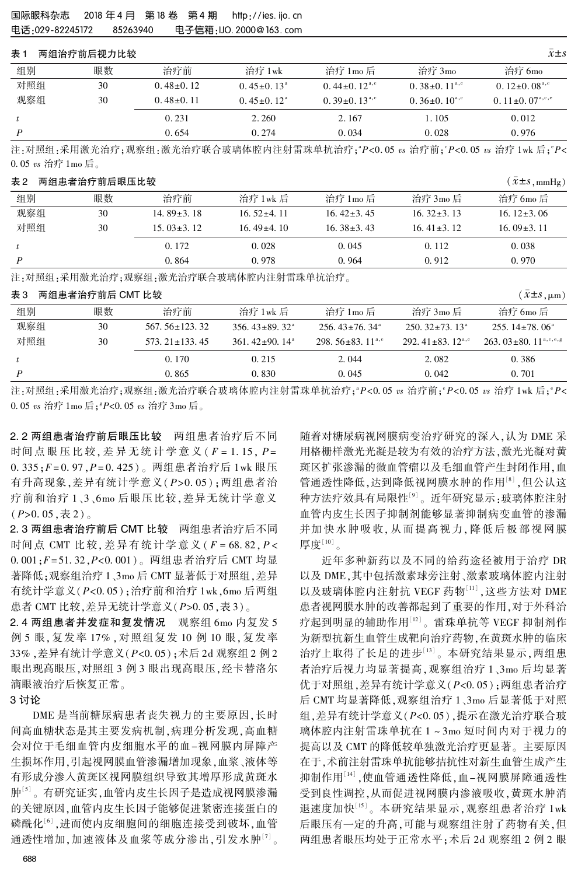### <sup>表</sup> <sup>1</sup> 两组治疗前后视力比较 x軃依s

| 组别  | 眼数 | 治疗前           | 治疗 1wk                  | 治疗 1mo 后                       | 治疗 3mo                         | 治疗 6mo                          |
|-----|----|---------------|-------------------------|--------------------------------|--------------------------------|---------------------------------|
| 对照组 | 30 | $0.48\pm0.12$ | $0.45 \pm 0.13^{\circ}$ | 0.44 $\pm$ 0.12 <sup>a,c</sup> | 0. $38\pm0.11^{\text{a,e}}$    | 0. $12\pm0.08^{\text{a,c}}$     |
| 观察组 | 30 | $0.48\pm0.11$ | $0.45+0.12^a$           | $0.39\pm0.13^{\text{a,c}}$     | 0.36 $\pm$ 0.10 <sup>a,c</sup> | 0. $11 \pm 0.07^{\text{a,e,e}}$ |
|     |    | 0.231         | 2.260                   | 2.167                          | 1.105                          | 0.012                           |
| P   |    | 0.654         | 0.274                   | 0.034                          | 0.028                          | 0.976                           |

注:对照组:采用激光治疗;观察组:激光治疗联合玻璃体腔内注射雷珠单抗治疗;" $P$ <0.05  $v$ s 治疗前;" $P$ <0.05  $v$ s 治疗 1wk 后;" $P$ <  $0.05 \text{ vs } \n\hat{\text{m}}\n\hat{\text{F}}$  1mo 后。

#### 表 2 两组患者治疗前后眼压比较 ( $\bar{x}$ ±s,mmHg)

| 组别  | 眼数 | 治疗前              | 治疗 1wk 后         | 治疗 1mo 后         | 治疗 3mo 后         | 治疗 6mo 后         |
|-----|----|------------------|------------------|------------------|------------------|------------------|
| 观察组 | 30 | 14.89 $\pm$ 3.18 | $16.52 \pm 4.11$ | $16.42 \pm 3.45$ | $16.32 \pm 3.13$ | 16. $12\pm3.06$  |
| 对照组 | 30 | $15.03 \pm 3.12$ | $16.49{\pm}4.10$ | $16.38 \pm 3.43$ | 16.41 $\pm$ 3.12 | $16.09 \pm 3.11$ |
|     |    | 0.172            | 0.028            | 0.045            | 0.112            | 0.038            |
|     |    | 0.864            | 0.978            | 0.964            | 0.912            | 0.970            |

注:对照组:采用激光治疗;观察组:激光治疗联合玻璃体腔内注射雷珠单抗治疗。

## <sup>表</sup> <sup>3</sup> 两组患者治疗前后 CMT 比较 (x軃依s,滋m)

| w. v |    |                     |                                 |                                    |                            | $v = 0$ , $\mu$ ill                                           |
|------|----|---------------------|---------------------------------|------------------------------------|----------------------------|---------------------------------------------------------------|
| 组别   | 眼数 | 治疗前                 | 治疗 1wk 后                        | 治疗 1mo 后                           | 治疗 3mo 后                   | 治疗 6mo 后                                                      |
| 观察组  | 30 | $567.56 \pm 123.32$ | $356.43 \pm 89.32$ <sup>a</sup> | $256.43 \pm 76.34$ <sup>a</sup>    | $250.32 \pm 73.13^{\circ}$ | $255.14 \pm 78.06^{\circ}$                                    |
| 对照组  | 30 | $573.21 \pm 133.45$ | $361.42+90.14a$                 | 298. $56\pm83$ . 11 <sup>a,c</sup> | $292.41+83.12^{a,c}$       | 263, $03 \pm 80$ , $11^{\text{a},\text{c},\text{e},\text{g}}$ |
|      |    | 0.170               | 0.215                           | 2.044                              | 2.082                      | 0.386                                                         |
|      |    | 0.865               | 0.830                           | 0.045                              | 0.042                      | 0.701                                                         |

注:对照组:采用激光治疗;观察组:激光治疗联合玻璃体腔内注射雷珠单抗治疗;" $P$ <0.05  $\mathrm{vs}$  治疗前;" $P$ <0.05  $\mathrm{vs}$  治疗 1wk 后;" $P$ <  $0.05 \text{ } \text{vs} \text{ } \hat{\text{iff}} 1 \text{mo} \; \overline{\text{fi}}$ ; $^{\text{g}}P<0.05 \text{ } \text{vs} \text{ } \hat{\text{iff}} 3 \text{mo} \; \overline{\text{fi}}$  。

2.2 两组患者治疗前后眼压比较 两组患者治疗后不同 时间点眼压比较, 差异无统计学意义 ( $F = 1.15$ ,  $P =$  $0.335; F = 0.97, P = 0.425$ )。 两组患者治疗后 1wk 眼压 有升高现象,差异有统计学意义(P>0.05);两组患者治 疗前和治疗 1、3、6mo 后眼压比较,差异无统计学意义  $(P>0.05,$ 表 2)。

2.3 两组患者治疗前后 CMT 比较 两组患者治疗后不同 时间点 CMT 比较,差异有统计学意义 ( $F = 68.82, P <$  $0.001; F = 51.32, P < 0.001)$ 。 两组患者治疗后 CMT 均显 著降低;观察组治疗 1、3mo 后 CMT 显著低于对照组,差异 有统计学意义 $(P < 0.05)$ ; 治疗前和治疗 1wk,6mo 后两组 患者 CMT 比较, 差异无统计学意义 ( $P > 0.05$ , 表 3)。

2.4 两组患者并发症和复发情况 观察组 6mo 内复发 5 例 5 眼,复发率 17% ,对照组复发 10 例 10 眼,复发率 33% ,差异有统计学意义(P<0.05);术后 2d 观察组 2 例 2 眼出现高眼压,对照组 3 例 3 眼出现高眼压,经卡替洛尔 滴眼液治疗后恢复正常。

#### 3 讨论

DME 是当前糖尿病患者丧失视力的主要原因,长时 间高血糖状态是其主要发病机制,病理分析发现,高血糖 会对位于毛细血管内皮细胞水平的血-视网膜内屏障产 生损坏作用,引起视网膜血管渗漏增加现象,血浆、液体等 有形成分渗入黄斑区视网膜组织导致其增厚形成黄斑水 肿'<sup>5'</sup>。有研究证实,血管内皮生长因子是造成视网膜渗漏 的关键原因,血管内皮生长因子能够促进紧密连接蛋白的 磷酰化'<sup>6」</sup>,进而使内皮细胞间的细胞连接受到破坏,血管 通透性增加,加速液体及血浆等成分渗出,引发水肿'''。

随着对糖尿病视网膜病变治疗研究的深入,认为 DME 采 用格栅样激光光凝是较为有效的治疗方法,激光光凝对黄 斑区扩张渗漏的微血管瘤以及毛细血管产生封闭作用,血 管通透性降低,达到降低视网膜水肿的作用[8] ,但公认这 种方法疗效具有局限性<sup>[9]</sup>。近年研究显示<sub>:</sub>玻璃体腔注射 血管内皮生长因子抑制剂能够显著抑制病变血管的渗漏 并加快水肿吸收, 从而提高视力, 降低后极部视网膜 厚度[10] 。

近年多种新药以及不同的给药途径被用于治疗 DR 以及 DME,其中包括激素球旁注射、激素玻璃体腔内注射 以及玻璃体腔内注射抗 VEGF 药物'''' ,这些方法对 DME 患者视网膜水肿的改善都起到了重要的作用,对于外科治 疗起到明显的辅助作用[12] 。 雷珠单抗等 VEGF 抑制剂作 为新型抗新生血管生成靶向治疗药物,在黄斑水肿的临床 治疗上取得了长足的进步[13]。本研究结果显示,两组患 者治疗后视力均显著提高,观察组治疗 1、3mo 后均显著 优于对照组,差异有统计学意义(P<0.05);两组患者治疗 后 CMT 均显著降低,观察组治疗 1、3mo 后显著低于对照 组, 差异有统计学意义(P<0.05), 提示在激光治疗联合玻 璃体腔内注射雷珠单抗在 1 ~ 3mo 短时间内对于视力的 提高以及 CMT 的降低较单独激光治疗更显著。 主要原因 在于,术前注射雷珠单抗能够拮抗性对新生血管生成产生 抑制作用 $^{\text{\tiny{[14]}}}$ ,使血管通透性降低,血-视网膜屏障通透性 受到良性调控,从而促进视网膜内渗液吸收,黄斑水肿消 退速度加快<sup>[15]</sup>。本研究结果显示,观察组患者治疗 1wk 后眼压有一定的升高,可能与观察组注射了药物有关,但 两组患者眼压均处于正常水平;术后 2d 观察组 2 例 2 眼